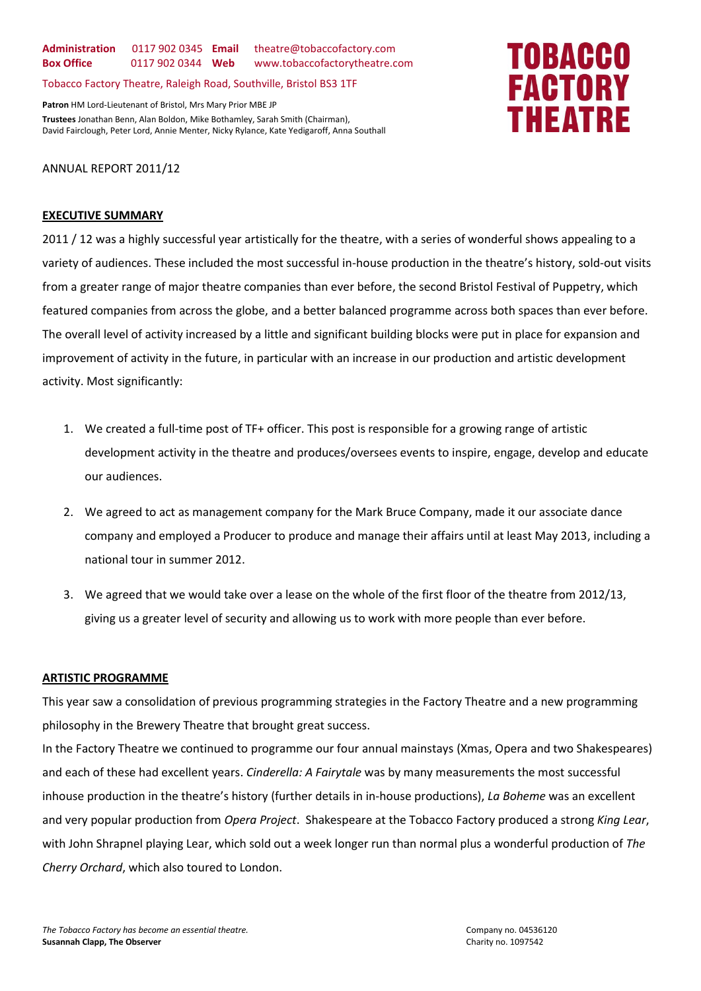**Administration** 0117 902 0345 **Email** theatre@tobaccofactory.com **Box Office** 0117 902 0344 **Web** www.tobaccofactorytheatre.com

Tobacco Factory Theatre, Raleigh Road, Southville, Bristol BS3 1TF

**Patron** HM Lord-Lieutenant of Bristol, Mrs Mary Prior MBE JP **Trustees** Jonathan Benn, Alan Boldon, Mike Bothamley, Sarah Smith (Chairman), David Fairclough, Peter Lord, Annie Menter, Nicky Rylance, Kate Yedigaroff, Anna Southall

# ANNUAL REPORT 2011/12

#### **EXECUTIVE SUMMARY**

2011 / 12 was a highly successful year artistically for the theatre, with a series of wonderful shows appealing to a variety of audiences. These included the most successful in-house production in the theatre's history, sold-out visits from a greater range of major theatre companies than ever before, the second Bristol Festival of Puppetry, which featured companies from across the globe, and a better balanced programme across both spaces than ever before. The overall level of activity increased by a little and significant building blocks were put in place for expansion and improvement of activity in the future, in particular with an increase in our production and artistic development activity. Most significantly:

- 1. We created a full-time post of TF+ officer. This post is responsible for a growing range of artistic development activity in the theatre and produces/oversees events to inspire, engage, develop and educate our audiences.
- 2. We agreed to act as management company for the Mark Bruce Company, made it our associate dance company and employed a Producer to produce and manage their affairs until at least May 2013, including a national tour in summer 2012.
- 3. We agreed that we would take over a lease on the whole of the first floor of the theatre from 2012/13, giving us a greater level of security and allowing us to work with more people than ever before.

# **ARTISTIC PROGRAMME**

This year saw a consolidation of previous programming strategies in the Factory Theatre and a new programming philosophy in the Brewery Theatre that brought great success.

In the Factory Theatre we continued to programme our four annual mainstays (Xmas, Opera and two Shakespeares) and each of these had excellent years. *Cinderella: A Fairytale* was by many measurements the most successful inhouse production in the theatre's history (further details in in-house productions), *La Boheme* was an excellent and very popular production from *Opera Project*. Shakespeare at the Tobacco Factory produced a strong *King Lear*, with John Shrapnel playing Lear, which sold out a week longer run than normal plus a wonderful production of *The Cherry Orchard*, which also toured to London.

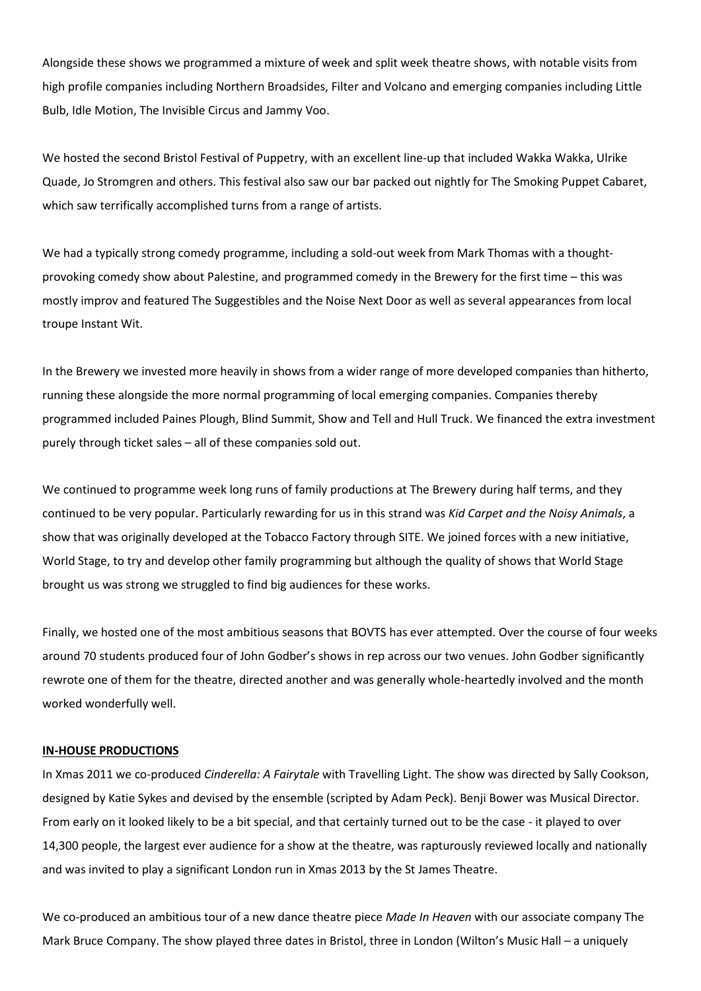Alongside these shows we programmed a mixture of week and split week theatre shows, with notable visits from high profile companies including Northern Broadsides, Filter and Volcano and emerging companies including Little Bulb, Idle Motion, The Invisible Circus and Jammy Voo.

We hosted the second Bristol Festival of Puppetry, with an excellent line-up that included Wakka Wakka, Ulrike Quade, Jo Stromgren and others. This festival also saw our bar packed out nightly for The Smoking Puppet Cabaret, which saw terrifically accomplished turns from a range of artists.

We had a typically strong comedy programme, including a sold-out week from Mark Thomas with a thoughtprovoking comedy show about Palestine, and programmed comedy in the Brewery for the first time – this was mostly improv and featured The Suggestibles and the Noise Next Door as well as several appearances from local troupe Instant Wit.

In the Brewery we invested more heavily in shows from a wider range of more developed companies than hitherto, running these alongside the more normal programming of local emerging companies. Companies thereby programmed included Paines Plough, Blind Summit, Show and Tell and Hull Truck. We financed the extra investment purely through ticket sales – all of these companies sold out.

We continued to programme week long runs of family productions at The Brewery during half terms, and they continued to be very popular. Particularly rewarding for us in this strand was *Kid Carpet and the Noisy Animals*, a show that was originally developed at the Tobacco Factory through SITE. We joined forces with a new initiative, World Stage, to try and develop other family programming but although the quality of shows that World Stage brought us was strong we struggled to find big audiences for these works.

Finally, we hosted one of the most ambitious seasons that BOVTS has ever attempted. Over the course of four weeks around 70 students produced four of John Godber's shows in rep across our two venues. John Godber significantly rewrote one of them for the theatre, directed another and was generally whole-heartedly involved and the month worked wonderfully well.

# **IN-HOUSE PRODUCTIONS**

In Xmas 2011 we co-produced *Cinderella: A Fairytale* with Travelling Light. The show was directed by Sally Cookson, designed by Katie Sykes and devised by the ensemble (scripted by Adam Peck). Benji Bower was Musical Director. From early on it looked likely to be a bit special, and that certainly turned out to be the case - it played to over 14,300 people, the largest ever audience for a show at the theatre, was rapturously reviewed locally and nationally and was invited to play a significant London run in Xmas 2013 by the St James Theatre.

We co-produced an ambitious tour of a new dance theatre piece *Made In Heaven* with our associate company The Mark Bruce Company. The show played three dates in Bristol, three in London (Wilton's Music Hall – a uniquely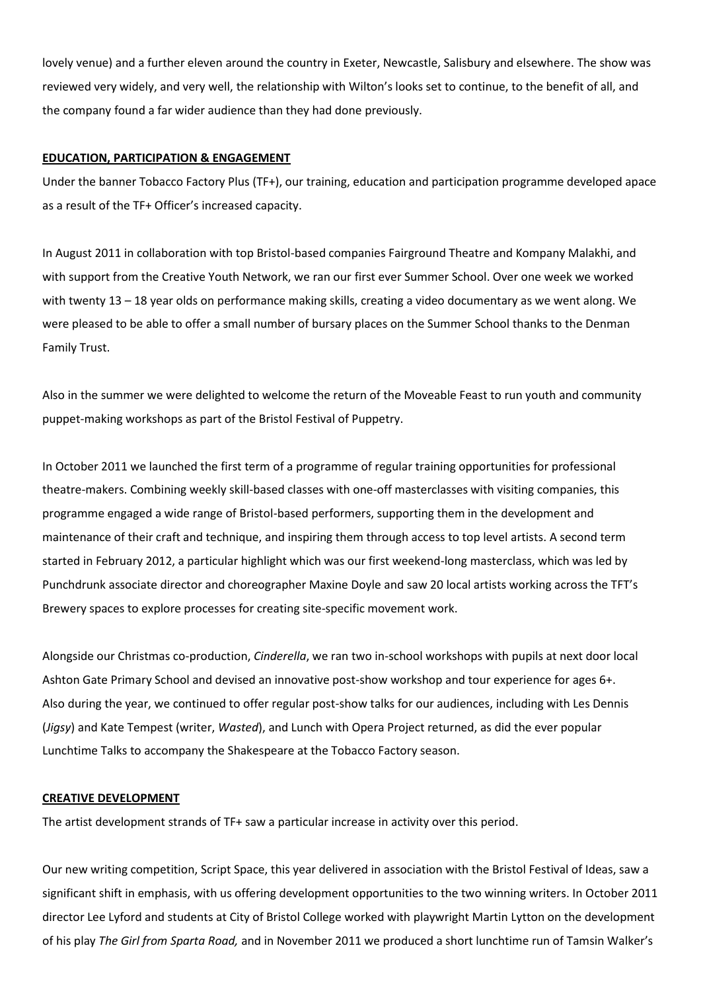lovely venue) and a further eleven around the country in Exeter, Newcastle, Salisbury and elsewhere. The show was reviewed very widely, and very well, the relationship with Wilton's looks set to continue, to the benefit of all, and the company found a far wider audience than they had done previously.

# **EDUCATION, PARTICIPATION & ENGAGEMENT**

Under the banner Tobacco Factory Plus (TF+), our training, education and participation programme developed apace as a result of the TF+ Officer's increased capacity.

In August 2011 in collaboration with top Bristol-based companies Fairground Theatre and Kompany Malakhi, and with support from the Creative Youth Network, we ran our first ever Summer School. Over one week we worked with twenty 13 – 18 year olds on performance making skills, creating a video documentary as we went along. We were pleased to be able to offer a small number of bursary places on the Summer School thanks to the Denman Family Trust.

Also in the summer we were delighted to welcome the return of the Moveable Feast to run youth and community puppet-making workshops as part of the Bristol Festival of Puppetry.

In October 2011 we launched the first term of a programme of regular training opportunities for professional theatre-makers. Combining weekly skill-based classes with one-off masterclasses with visiting companies, this programme engaged a wide range of Bristol-based performers, supporting them in the development and maintenance of their craft and technique, and inspiring them through access to top level artists. A second term started in February 2012, a particular highlight which was our first weekend-long masterclass, which was led by Punchdrunk associate director and choreographer Maxine Doyle and saw 20 local artists working across the TFT's Brewery spaces to explore processes for creating site-specific movement work.

Alongside our Christmas co-production, *Cinderella*, we ran two in-school workshops with pupils at next door local Ashton Gate Primary School and devised an innovative post-show workshop and tour experience for ages 6+. Also during the year, we continued to offer regular post-show talks for our audiences, including with Les Dennis (*Jigsy*) and Kate Tempest (writer, *Wasted*), and Lunch with Opera Project returned, as did the ever popular Lunchtime Talks to accompany the Shakespeare at the Tobacco Factory season.

# **CREATIVE DEVELOPMENT**

The artist development strands of TF+ saw a particular increase in activity over this period.

Our new writing competition, Script Space, this year delivered in association with the Bristol Festival of Ideas, saw a significant shift in emphasis, with us offering development opportunities to the two winning writers. In October 2011 director Lee Lyford and students at City of Bristol College worked with playwright Martin Lytton on the development of his play *The Girl from Sparta Road,* and in November 2011 we produced a short lunchtime run of Tamsin Walker's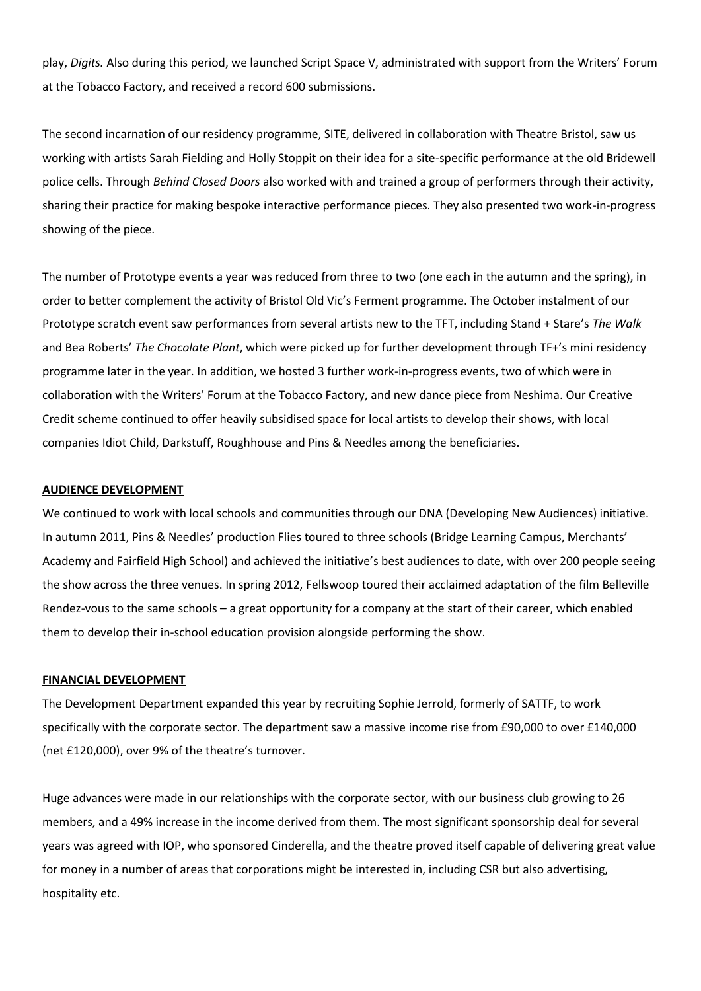play, *Digits.* Also during this period, we launched Script Space V, administrated with support from the Writers' Forum at the Tobacco Factory, and received a record 600 submissions.

The second incarnation of our residency programme, SITE, delivered in collaboration with Theatre Bristol, saw us working with artists Sarah Fielding and Holly Stoppit on their idea for a site-specific performance at the old Bridewell police cells. Through *Behind Closed Doors* also worked with and trained a group of performers through their activity, sharing their practice for making bespoke interactive performance pieces. They also presented two work-in-progress showing of the piece.

The number of Prototype events a year was reduced from three to two (one each in the autumn and the spring), in order to better complement the activity of Bristol Old Vic's Ferment programme. The October instalment of our Prototype scratch event saw performances from several artists new to the TFT, including Stand + Stare's *The Walk* and Bea Roberts' *The Chocolate Plant*, which were picked up for further development through TF+'s mini residency programme later in the year. In addition, we hosted 3 further work-in-progress events, two of which were in collaboration with the Writers' Forum at the Tobacco Factory, and new dance piece from Neshima. Our Creative Credit scheme continued to offer heavily subsidised space for local artists to develop their shows, with local companies Idiot Child, Darkstuff, Roughhouse and Pins & Needles among the beneficiaries.

### **AUDIENCE DEVELOPMENT**

We continued to work with local schools and communities through our DNA (Developing New Audiences) initiative. In autumn 2011, Pins & Needles' production Flies toured to three schools (Bridge Learning Campus, Merchants' Academy and Fairfield High School) and achieved the initiative's best audiences to date, with over 200 people seeing the show across the three venues. In spring 2012, Fellswoop toured their acclaimed adaptation of the film Belleville Rendez-vous to the same schools – a great opportunity for a company at the start of their career, which enabled them to develop their in-school education provision alongside performing the show.

#### **FINANCIAL DEVELOPMENT**

The Development Department expanded this year by recruiting Sophie Jerrold, formerly of SATTF, to work specifically with the corporate sector. The department saw a massive income rise from £90,000 to over £140,000 (net £120,000), over 9% of the theatre's turnover.

Huge advances were made in our relationships with the corporate sector, with our business club growing to 26 members, and a 49% increase in the income derived from them. The most significant sponsorship deal for several years was agreed with IOP, who sponsored Cinderella, and the theatre proved itself capable of delivering great value for money in a number of areas that corporations might be interested in, including CSR but also advertising, hospitality etc.